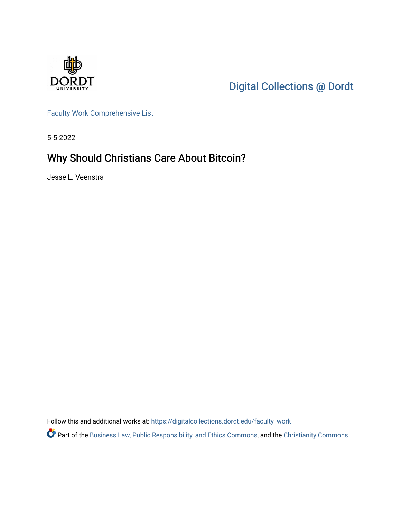

[Digital Collections @ Dordt](https://digitalcollections.dordt.edu/) 

[Faculty Work Comprehensive List](https://digitalcollections.dordt.edu/faculty_work)

5-5-2022

# Why Should Christians Care About Bitcoin?

Jesse L. Veenstra

Follow this and additional works at: [https://digitalcollections.dordt.edu/faculty\\_work](https://digitalcollections.dordt.edu/faculty_work?utm_source=digitalcollections.dordt.edu%2Ffaculty_work%2F1390&utm_medium=PDF&utm_campaign=PDFCoverPages) 

Part of the [Business Law, Public Responsibility, and Ethics Commons](https://network.bepress.com/hgg/discipline/628?utm_source=digitalcollections.dordt.edu%2Ffaculty_work%2F1390&utm_medium=PDF&utm_campaign=PDFCoverPages), and the [Christianity Commons](https://network.bepress.com/hgg/discipline/1181?utm_source=digitalcollections.dordt.edu%2Ffaculty_work%2F1390&utm_medium=PDF&utm_campaign=PDFCoverPages)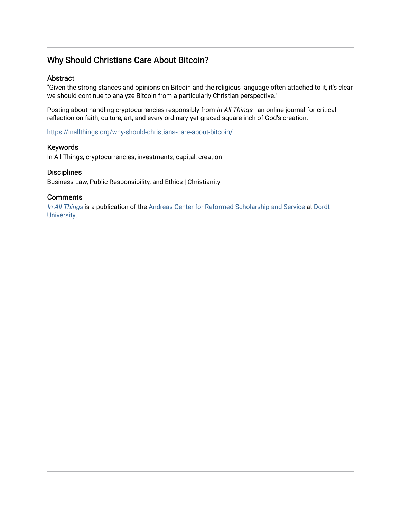# Why Should Christians Care About Bitcoin?

#### Abstract

"Given the strong stances and opinions on Bitcoin and the religious language often attached to it, it's clear we should continue to analyze Bitcoin from a particularly Christian perspective."

Posting about handling cryptocurrencies responsibly from In All Things - an online journal for critical reflection on faith, culture, art, and every ordinary-yet-graced square inch of God's creation.

<https://inallthings.org/why-should-christians-care-about-bitcoin/>

#### Keywords

In All Things, cryptocurrencies, investments, capital, creation

#### **Disciplines**

Business Law, Public Responsibility, and Ethics | Christianity

#### **Comments**

[In All Things](http://inallthings.org/) is a publication of the [Andreas Center for Reformed Scholarship and Service](http://www.dordt.edu/services_support/andreas_center/) at Dordt [University](http://www.dordt.edu/).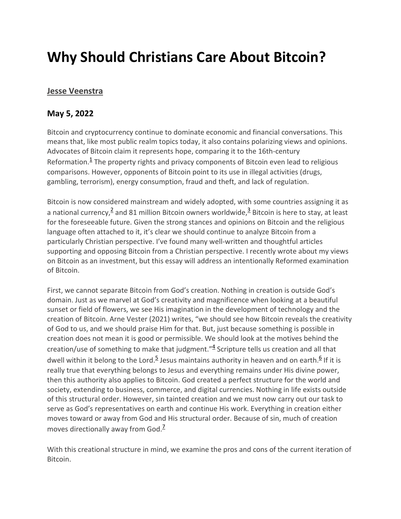# **Why Should Christians Care About Bitcoin?**

# **[Jesse Veenstra](https://inallthings.org/author/jesse-veenstra/)**

# **May 5, 2022**

Bitcoin and cryptocurrency continue to dominate economic and financial conversations. This means that, like most public realm topics today, it also contains polarizing views and opinions. Advocates of Bitcoin claim it represents hope, comparing it to the 16th-century Reformation. $<sup>1</sup>$  The property rights and privacy components of Bitcoin even lead to religious</sup> comparisons. However, opponents of Bitcoin point to its use in illegal activities (drugs, gambling, terrorism), energy consumption, fraud and theft, and lack of regulation.

Bitcoin is now considered mainstream and widely adopted, with some countries assigning it as a national currency,  $\frac{2}{3}$  and 81 million Bitcoin owners worldwide,  $\frac{3}{3}$  Bitcoin is here to stay, at least for the foreseeable future. Given the strong stances and opinions on Bitcoin and the religious language often attached to it, it's clear we should continue to analyze Bitcoin from a particularly Christian perspective. I've found many well-written and thoughtful articles supporting and opposing Bitcoin from a Christian perspective. I recently wrote about my views on Bitcoin as an investment, but this essay will address an intentionally Reformed examination of Bitcoin.

First, we cannot separate Bitcoin from God's creation. Nothing in creation is outside God's domain. Just as we marvel at God's creativity and magnificence when looking at a beautiful sunset or field of flowers, we see His imagination in the development of technology and the creation of Bitcoin. Arne Vester (2021) writes, "we should see how Bitcoin reveals the creativity of God to us, and we should praise Him for that. But, just because something is possible in creation does not mean it is good or permissible. We should look at the motives behind the creation/use of something to make that judgment."<sup>4</sup> Scripture tells us creation and all that dwell within it belong to the Lord.<sup>5</sup> Jesus maintains authority in heaven and on earth.<sup>6</sup> If it is really true that everything belongs to Jesus and everything remains under His divine power, then this authority also applies to Bitcoin. God created a perfect structure for the world and society, extending to business, commerce, and digital currencies. Nothing in life exists outside of this structural order. However, sin tainted creation and we must now carry out our task to serve as God's representatives on earth and continue His work. Everything in creation either moves toward or away from God and His structural order. Because of sin, much of creation moves directionally away from God.<sup>7</sup>

With this creational structure in mind, we examine the pros and cons of the current iteration of Bitcoin.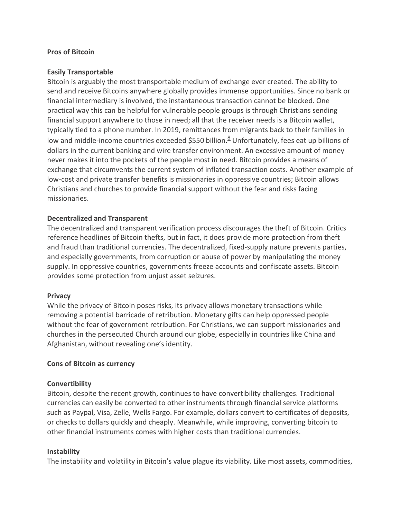#### **Pros of Bitcoin**

#### **Easily Transportable**

Bitcoin is arguably the most transportable medium of exchange ever created. The ability to send and receive Bitcoins anywhere globally provides immense opportunities. Since no bank or financial intermediary is involved, the instantaneous transaction cannot be blocked. One practical way this can be helpful for vulnerable people groups is through Christians sending financial support anywhere to those in need; all that the receiver needs is a Bitcoin wallet, typically tied to a phone number. In 2019, remittances from migrants back to their families in low and middle-income countries exceeded \$550 billion.<sup>8</sup> Unfortunately, fees eat up billions of dollars in the current banking and wire transfer environment. An excessive amount of money never makes it into the pockets of the people most in need. Bitcoin provides a means of exchange that circumvents the current system of inflated transaction costs. Another example of low-cost and private transfer benefits is missionaries in oppressive countries; Bitcoin allows Christians and churches to provide financial support without the fear and risks facing missionaries.

#### **Decentralized and Transparent**

The decentralized and transparent verification process discourages the theft of Bitcoin. Critics reference headlines of Bitcoin thefts, but in fact, it does provide more protection from theft and fraud than traditional currencies. The decentralized, fixed-supply nature prevents parties, and especially governments, from corruption or abuse of power by manipulating the money supply. In oppressive countries, governments freeze accounts and confiscate assets. Bitcoin provides some protection from unjust asset seizures.

#### **Privacy**

While the privacy of Bitcoin poses risks, its privacy allows monetary transactions while removing a potential barricade of retribution. Monetary gifts can help oppressed people without the fear of government retribution. For Christians, we can support missionaries and churches in the persecuted Church around our globe, especially in countries like China and Afghanistan, without revealing one's identity.

#### **Cons of Bitcoin as currency**

#### **Convertibility**

Bitcoin, despite the recent growth, continues to have convertibility challenges. Traditional currencies can easily be converted to other instruments through financial service platforms such as Paypal, Visa, Zelle, Wells Fargo. For example, dollars convert to certificates of deposits, or checks to dollars quickly and cheaply. Meanwhile, while improving, converting bitcoin to other financial instruments comes with higher costs than traditional currencies.

#### **Instability**

The instability and volatility in Bitcoin's value plague its viability. Like most assets, commodities,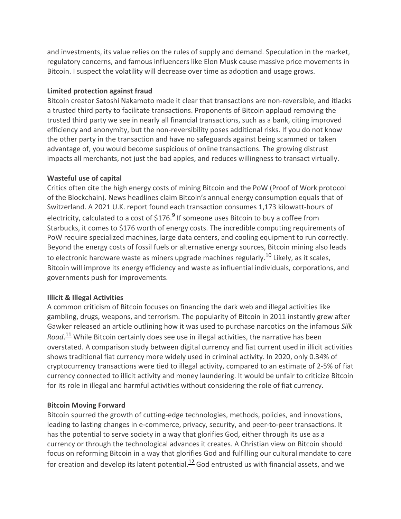and investments, its value relies on the rules of supply and demand. Speculation in the market, regulatory concerns, and famous influencers like Elon Musk cause massive price movements in Bitcoin. I suspect the volatility will decrease over time as adoption and usage grows.

## **Limited protection against fraud**

Bitcoin creator Satoshi Nakamoto made it clear that transactions are non-reversible, and itlacks a trusted third party to facilitate transactions. Proponents of Bitcoin applaud removing the trusted third party we see in nearly all financial transactions, such as a bank, citing improved efficiency and anonymity, but the non-reversibility poses additional risks. If you do not know the other party in the transaction and have no safeguards against being scammed or taken advantage of, you would become suspicious of online transactions. The growing distrust impacts all merchants, not just the bad apples, and reduces willingness to transact virtually.

# **Wasteful use of capital**

Critics often cite the high energy costs of mining Bitcoin and the PoW (Proof of Work protocol of the Blockchain). News headlines claim Bitcoin's annual energy consumption equals that of Switzerland. A 2021 U.K. report found each transaction consumes 1,173 kilowatt-hours of electricity, calculated to a cost of  $$176.<sup>9</sup>$  If someone uses Bitcoin to buy a coffee from Starbucks, it comes to \$176 worth of energy costs. The incredible computing requirements of PoW require specialized machines, large data centers, and cooling equipment to run correctly. Beyond the energy costs of fossil fuels or alternative energy sources, Bitcoin mining also leads to electronic hardware waste as miners upgrade machines regularly.<sup>10</sup> Likely, as it scales, Bitcoin will improve its energy efficiency and waste as influential individuals, corporations, and governments push for improvements.

# **Illicit & Illegal Activities**

A common criticism of Bitcoin focuses on financing the dark web and illegal activities like gambling, drugs, weapons, and terrorism. The popularity of Bitcoin in 2011 instantly grew after Gawker released an article outlining how it was used to purchase narcotics on the infamous *Silk*  Road.<sup>11</sup> While Bitcoin certainly does see use in illegal activities, the narrative has been overstated. A comparison study between digital currency and fiat current used in illicit activities shows traditional fiat currency more widely used in criminal activity. In 2020, only 0.34% of cryptocurrency transactions were tied to illegal activity, compared to an estimate of 2-5% of fiat currency connected to illicit activity and money laundering. It would be unfair to criticize Bitcoin for its role in illegal and harmful activities without considering the role of fiat currency.

# **Bitcoin Moving Forward**

Bitcoin spurred the growth of cutting-edge technologies, methods, policies, and innovations, leading to lasting changes in e-commerce, privacy, security, and peer-to-peer transactions. It has the potential to serve society in a way that glorifies God, either through its use as a currency or through the technological advances it creates. A Christian view on Bitcoin should focus on reforming Bitcoin in a way that glorifies God and fulfilling our cultural mandate to care for creation and develop its latent potential. $12/2$  God entrusted us with financial assets, and we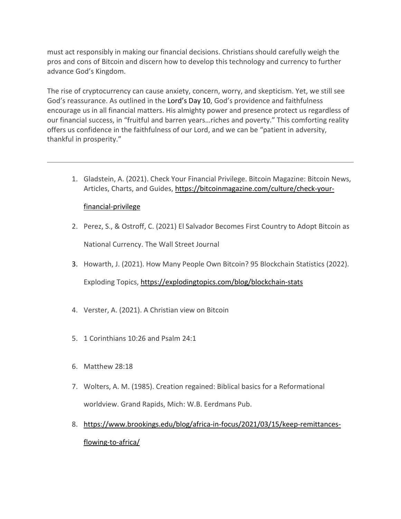must act responsibly in making our financial decisions. Christians should carefully weigh the pros and cons of Bitcoin and discern how to develop this technology and currency to further advance God's Kingdom.

The rise of cryptocurrency can cause anxiety, concern, worry, and skepticism. Yet, we still see God's reassurance. As outlined in the [Lord's Day 10,](http://www.heidelberg-catechism.com/en/lords-days/10.html) God's providence and faithfulness encourage us in all financial matters. His almighty power and presence protect us regardless of our financial success, in "fruitful and barren years…riches and poverty." This comforting reality offers us confidence in the faithfulness of our Lord, and we can be "patient in adversity, thankful in prosperity."

1. Gladstein, A. (2021). Check Your Financial Privilege. Bitcoin Magazine: Bitcoin News, Articles, Charts, and Guides, https://bitcoinmagazine.com/culture/check-your-

## financial-privilege

- 2. Perez, S., & Ostroff, C. (2021) El Salvador Becomes First Country to Adopt Bitcoin as National Currency. The Wall Street Journal
- 3. Howarth, J. (2021). How Many People Own Bitcoin? 95 Blockchain Statistics (2022).

Exploding Topics, <https://explodingtopics.com/blog/blockchain-stats>

- 4. Verster, A. (2021). A Christian view on Bitcoin
- 5. 1 Corinthians 10:26 and Psalm 24:1
- 6. Matthew 28:18
- 7. Wolters, A. M. (1985). Creation regained: Biblical basics for a Reformational worldview. Grand Rapids, Mich: W.B. Eerdmans Pub.
- 8. https://www.broo[kings.](https://inallthings.org/why-should-christians-care-about-bitcoin/#rf8-22675)edu/blog/africa-in-focus/2021/03/15/keep-remittancesflowing-to-africa/